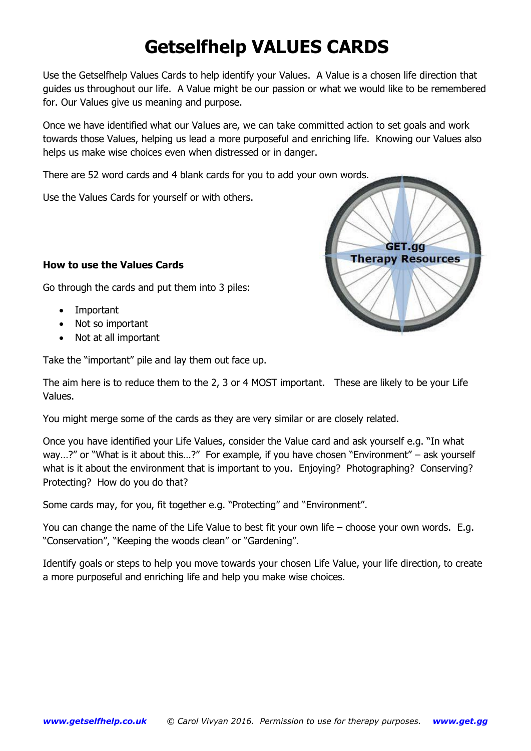## **Getselfhelp VALUES CARDS**

Use the Getselfhelp Values Cards to help identify your Values. A Value is a chosen life direction that guides us throughout our life. A Value might be our passion or what we would like to be remembered for. Our Values give us meaning and purpose.

Once we have identified what our Values are, we can take committed action to set goals and work towards those Values, helping us lead a more purposeful and enriching life. Knowing our Values also helps us make wise choices even when distressed or in danger.

There are 52 word cards and 4 blank cards for you to add your own words.

Use the Values Cards for yourself or with others.

## **How to use the Values Cards**

Go through the cards and put them into 3 piles:

- Important
- Not so important
- Not at all important

Take the "important" pile and lay them out face up.

The aim here is to reduce them to the 2, 3 or 4 MOST important. These are likely to be your Life Values.

You might merge some of the cards as they are very similar or are closely related.

Once you have identified your Life Values, consider the Value card and ask yourself e.g. "In what way…?" or "What is it about this…?" For example, if you have chosen "Environment" – ask yourself what is it about the environment that is important to you. Enjoying? Photographing? Conserving? Protecting? How do you do that?

Some cards may, for you, fit together e.g. "Protecting" and "Environment".

You can change the name of the Life Value to best fit your own life – choose your own words. E.g. "Conservation", "Keeping the woods clean" or "Gardening".

Identify goals or steps to help you move towards your chosen Life Value, your life direction, to create a more purposeful and enriching life and help you make wise choices.

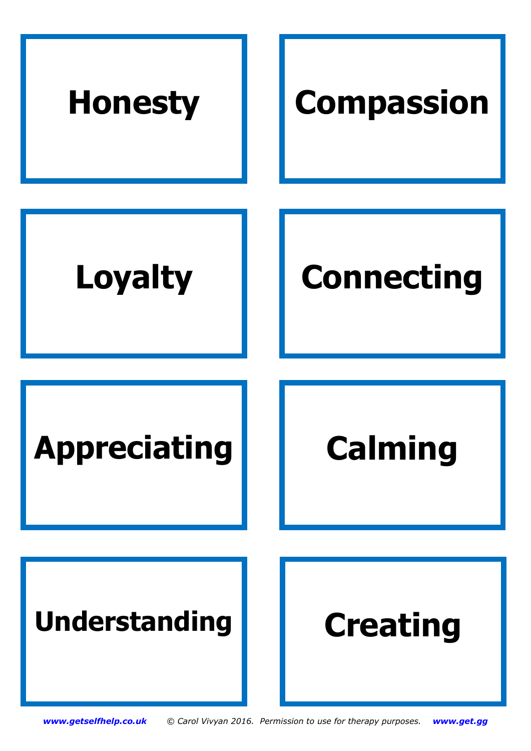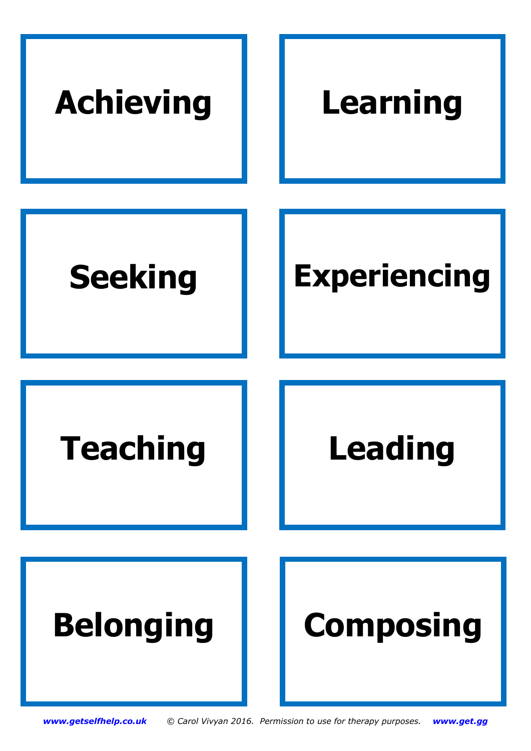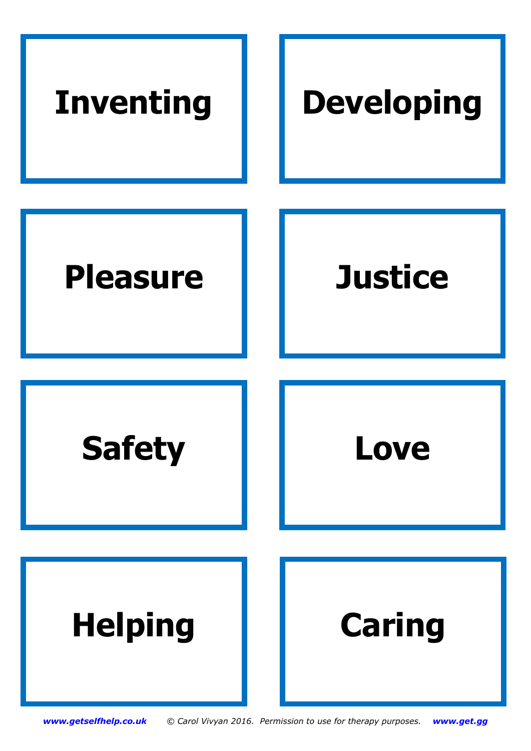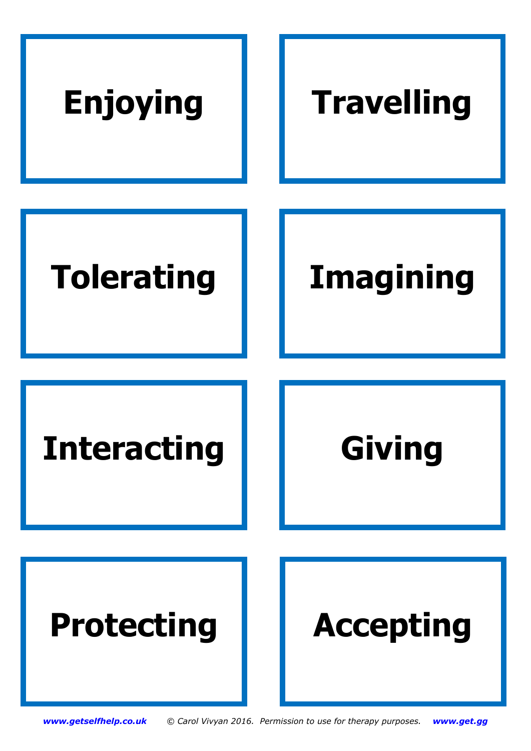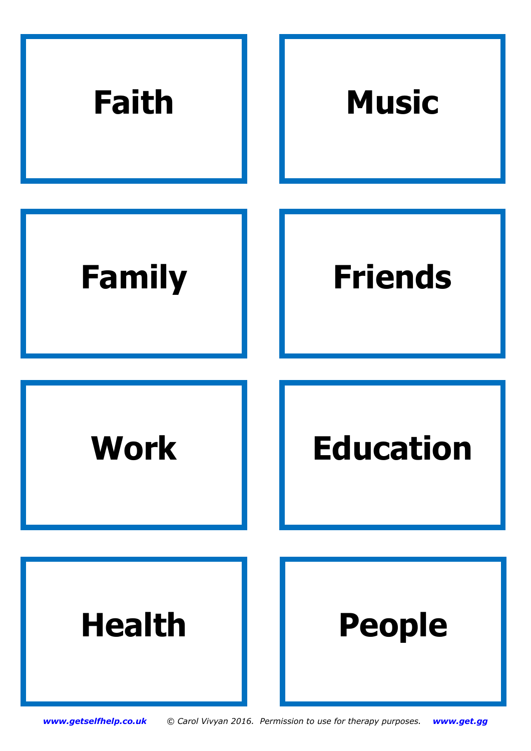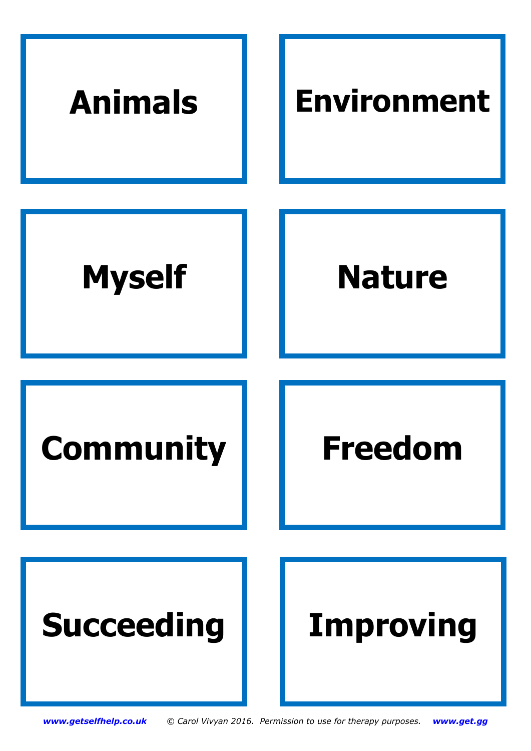